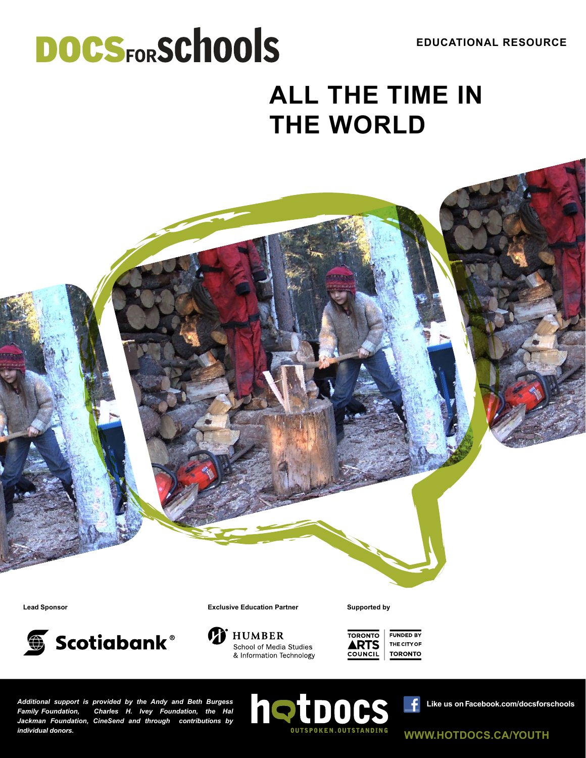**EDUCATIONAL RESOURCE**

# **DOCSFORSCHOOLS ALL THE TIME IN THE WORLD**

Scotiabank®

**Lead Sponsor Exclusive Education Partner Supported by**



School of Media Studies & Information Technology **TORONTO FUNDED BY ARTS** THE CITY OF **TORONTO** COUNCIL

*Additional support is provided by the Andy and Beth Burgess Family Foundation, Charles H. Ivey Foundation, the Hal Jackman Foundation, CineSend and through contributions by individual donors.*



 $\ddot{\mathbf{f}}$ **Like us on [Facebook.com/doc](Facebook.com/docsforschools)sforschools**

**<WWW.HOTDOCS.CA/YOUTH>**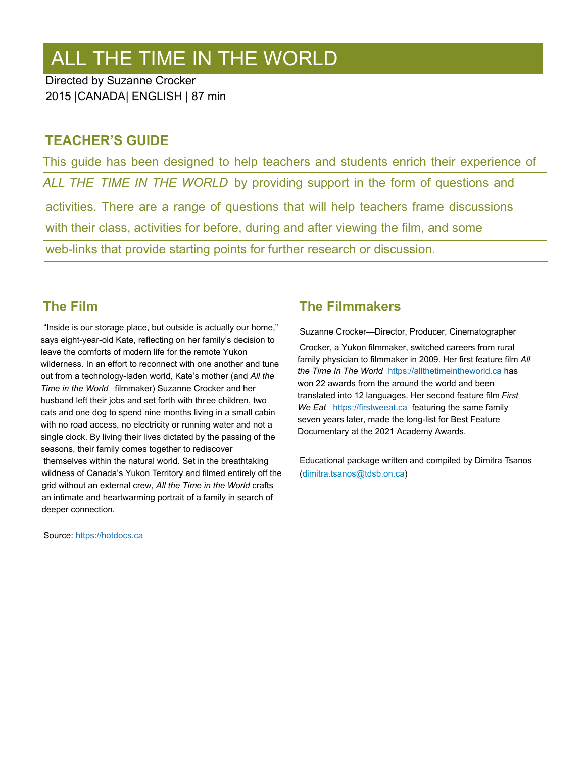## ALL THE TIME IN THE WORLD

Directed by Suzanne Crocker 2015 |CANADA| ENGLISH | 87 min

#### **TEACHER'S GUIDE**

This guide has been designed to help teachers and students enrich their experience of *ALL THE TIME IN THE WORLD* by providing support in the form of questions and activities. There are a range of questions that will help teachers frame discussions with their class, activities for before, during and after viewing the film, and some web-links that provide starting points for further research or discussion.

#### **The Film**

"Inside is our storage place, but outside is actually our home," says eight-year-old Kate, reflecting on her family's decision to leave the comforts of modern life for the remote Yukon wilderness. In an effort to reconnect with one another and tune out from a technology-laden world, Kate's mother (and *All the Time in the World* filmmaker) Suzanne Crocker and her husband left their jobs and set forth with three children, two cats and one dog to spend nine months living in a small cabin with no road access, no electricity or running water and not a single clock. By living their lives dictated by the passing of the seasons, their family comes together to rediscover themselves within the natural world. Set in the breathtaking wildness of Canada's Yukon Territory and filmed entirely off the grid without an external crew, *All the Time in the World* crafts an intimate and heartwarming portrait of a family in search of deeper connection.

Source:<https://hotdocs.ca>

#### **The Filmmakers**

Suzanne Crocker—Director, Producer, Cinematographer Crocker, a Yukon filmmaker, switched careers from rural family physician to filmmaker in 2009. Her first feature film *All the Time In The World* <https://allthetimeintheworld.ca> has won 22 awards from the around the world and been translated into 12 languages. Her second feature film *First We Eat* <https://firstweeat.ca> featuring the same family seven years later, made the long-list for Best Feature Documentary at the 2021 Academy Awards.

Educational package written and compiled by Dimitra Tsanos ([dimitra.tsanos@tdsb.on.ca\)](mailto:dimitra.tsanos%40tdsb.on.ca?subject=)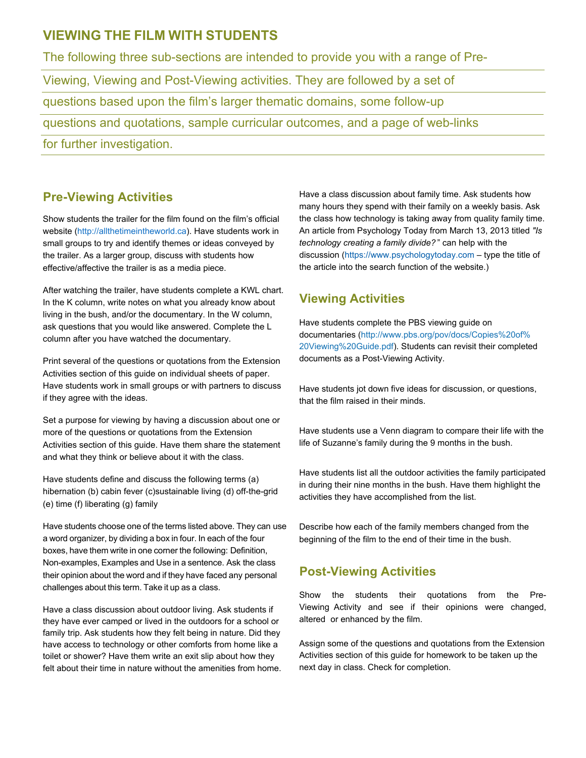#### **VIEWING THE FILM WITH STUDENTS**

The following three sub-sections are intended to provide you with a range of Pre-Viewing, Viewing and Post-Viewing activities. They are followed by a set of questions based upon the film's larger thematic domains, some follow-up questions and quotations, sample curricular outcomes, and a page of web-links for further investigation.

#### **Pre-Viewing Activities**

Show students the trailer for the film found on the film's official website [\(http://allthetimeintheworld.ca\). H](http://allthetimeintheworld.ca)ave students work in small groups to try and identify themes or ideas conveyed by the trailer. As a larger group, discuss with students how effective/affective the trailer is as a media piece.

After watching the trailer, have students complete a KWL chart. In the K column, write notes on what you already know about living in the bush, and/or the documentary. In the W column, ask questions that you would like answered. Complete the L column after you have watched the documentary.

Print several of the questions or quotations from the Extension Activities section of this guide on individual sheets of paper. Have students work in small groups or with partners to discuss if they agree with the ideas.

Set a purpose for viewing by having a discussion about one or more of the questions or quotations from the Extension Activities section of this guide. Have them share the statement and what they think or believe about it with the class.

Have students define and discuss the following terms (a) hibernation (b) cabin fever (c)sustainable living (d) off-the-grid (e) time (f) liberating (g) family

Have students choose one of the terms listed above. They can use a word organizer, by dividing a box in four. In each of the four boxes, have them write in one corner the following: Definition, Non-examples, Examples and Use in a sentence. Ask the class their opinion about the word and if they have faced any personal challenges about this term. Take it up as a class.

Have a class discussion about outdoor living. Ask students if they have ever camped or lived in the outdoors for a school or family trip. Ask students how they felt being in nature. Did they have access to technology or other comforts from home like a toilet or shower? Have them write an exit slip about how they felt about their time in nature without the amenities from home. Have a class discussion about family time. Ask students how many hours they spend with their family on a weekly basis. Ask the class how technology is taking away from quality family time. An article from Psychology Today from March 13, 2013 titled *"Is technology creating a family divide?* " can help with the discussion [\(https://www.psychologytoday.com](https://www.psychologytoday.com) – type the title of the article into the search function of the website.)

#### **Viewing Activities**

Have students complete the PBS viewing guide on documentaries [\(http://www.pbs.org/pov/docs/Copies%20of%](http://www.pbs.org/pov/docs/Copies%20of%20Viewing%20Guide.pdf) [20Viewing%20Guide.pdf\).](http://www.pbs.org/pov/docs/Copies%20of%20Viewing%20Guide.pdf) Students can revisit their completed documents as a Post-Viewing Activity.

Have students jot down five ideas for discussion, or questions, that the film raised in their minds.

Have students use a Venn diagram to compare their life with the life of Suzanne's family during the 9 months in the bush.

Have students list all the outdoor activities the family participated in during their nine months in the bush. Have them highlight the activities they have accomplished from the list.

Describe how each of the family members changed from the beginning of the film to the end of their time in the bush.

#### **Post-Viewing Activities**

Show the students their quotations from the Pre-Viewing Activity and see if their opinions were changed, altered or enhanced by the film.

Assign some of the questions and quotations from the Extension Activities section of this guide for homework to be taken up the next day in class. Check for completion.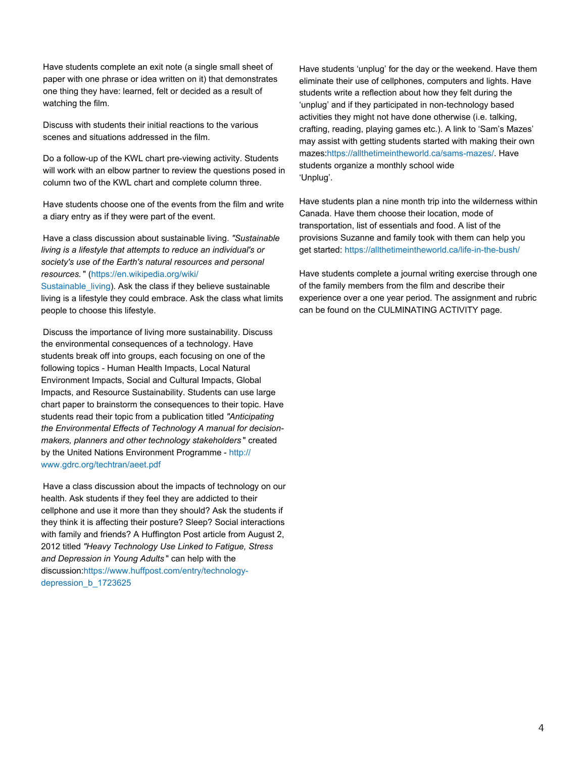Have students complete an exit note (a single small sheet of paper with one phrase or idea written on it) that demonstrates one thing they have: learned, felt or decided as a result of watching the film.

Discuss with students their initial reactions to the various scenes and situations addressed in the film.

Do a follow-up of the KWL chart pre-viewing activity. Students will work with an elbow partner to review the questions posed in column two of the KWL chart and complete column three.

Have students choose one of the events from the film and write a diary entry as if they were part of the event.

Have a class discussion about sustainable living. *"Sustainable living is a lifestyle that attempts to reduce an individual's or society's use of the Earth's natural resources and personal resources.* " [\(https://en.wikipedia.org/wiki/](https://en.wikipedia.org/wiki/Sustainable_living)

Sustainable living). Ask the class if they believe sustainable living is a lifestyle they could embrace. Ask the class what limits people to choose this lifestyle.

Discuss the importance of living more sustainability. Discuss the environmental consequences of a technology. Have students break off into groups, each focusing on one of the following topics - Human Health Impacts, Local Natural Environment Impacts, Social and Cultural Impacts, Global Impacts, and Resource Sustainability. Students can use large chart paper to brainstorm the consequences to their topic. Have students read their topic from a publication titled *"Anticipating the Environmental Effects of Technology A manual for decisionmakers, planners and other technology stakeholders* " created by the United Nations Environment Programme - [http://](http://www.gdrc.org/techtran/aeet.pdf) [www.gdrc.org/techtran/aeet.pdf](http://www.gdrc.org/techtran/aeet.pdf)

Have a class discussion about the impacts of technology on our health. Ask students if they feel they are addicted to their cellphone and use it more than they should? Ask the students if they think it is affecting their posture? Sleep? Social interactions with family and friends? A Huffington Post article from August 2, 2012 titled *"Heavy Technology Use Linked to Fatigue, Stress and Depression in Young Adults* " can help with the discussion[:https://www.huffpost.com/entry/technology](https://www.huffpost.com/entry/technology-depression_b_1723625)depression **b** 1723625

Have students 'unplug' for the day or the weekend. Have them eliminate their use of cellphones, computers and lights. Have students write a reflection about how they felt during the 'unplug' and if they participated in non-technology based activities they might not have done otherwise (i.e. talking, crafting, reading, playing games etc.). A link to 'Sam's Mazes' may assist with getting students started with making their own mazes[:https://allthetimeintheworld.ca/sams-mazes/.](https://allthetimeintheworld.ca/sams-mazes/) Have students organize a monthly school wide 'Unplug'.

Have students plan a nine month trip into the wilderness within Canada. Have them choose their location, mode of transportation, list of essentials and food. A list of the provisions Suzanne and family took with them can help you get started:<https://allthetimeintheworld.ca/life-in-the-bush/>

Have students complete a journal writing exercise through one of the family members from the film and describe their experience over a one year period. The assignment and rubric can be found on the CULMINATING ACTIVITY page.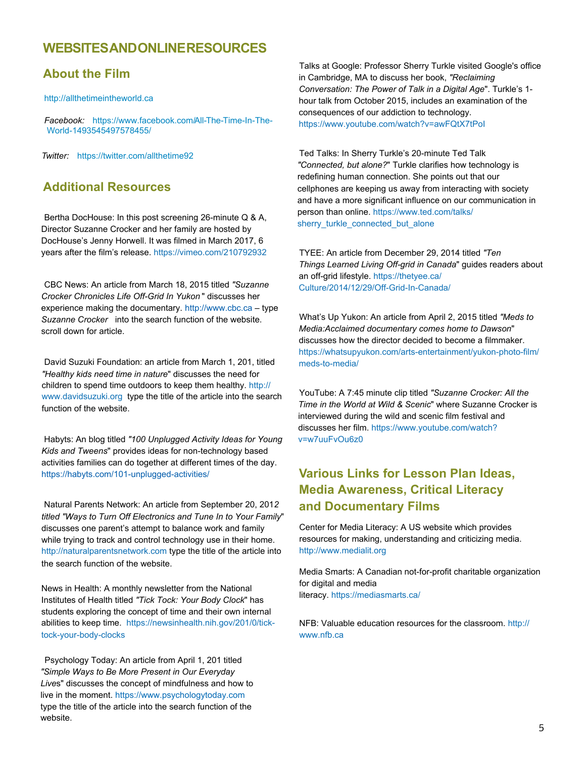#### **WEBSITESANDONLINERESOURCES**

#### **About the Film**

<http://allthetimeintheworld.ca>

*Facebook:* [https://www.facebook.com/All-The-Time-In-The-](https://www.facebook.com/All-The-Time-In-The-World-1493545497578455/)Wor[ld-1493545497578455/](https://www.facebook.com/All-The-Time-In-The-World-1493545497578455/)

*Twitter:* <https://twitter.com/allthetime92>

#### **Additional Resources**

Bertha DocHouse: In this post screening 26-minute Q & A, Director Suzanne Crocker and her family are hosted by DocHouse's Jenny Horwell. It was filmed in March 2017, 6 years after the film's release.<https://vimeo.com/210792932>

CBC News: An article from March 18, 2015 titled *"Suzanne Crocker Chronicles Life Off-Grid In Yukon* " discusses her experience making the documentary. <http://www.cbc.ca>– type *Suzanne Crocker* into the search function of the website. scroll down for article.

David Suzuki Foundation: an article from March 1, 201, titled *"Healthy kids need time in nature*" discusses the need for children to spend time outdoors to keep them healthy. [http://](http://www.davidsuzuki.org) [www.davidsuzuki.org](http://www.davidsuzuki.org) type the title of the article into the search function of the website.

Habyts: An blog titled *"100 Unplugged Activity Ideas for Young Kids and Tweens*" provides ideas for non-technology based activities families can do together at different times of the day. <https://habyts.com/101-unplugged-activities/>

Natural Parents Network: An article from September 20, 201*2 titled "Ways to Turn Off Electronics and Tune In to Your Family*" discusses one parent's attempt to balance work and family while trying to track and control technology use in their home. <http://naturalparentsnetwork.com>type the title of the article into the search function of the website.

News in Health: A monthly newsletter from the National Institutes of Health titled *"Tick Tock: Your Body Clock*" has students exploring the concept of time and their own internal abilities to keep time. [https://newsinhealth.nih.gov/201/0/tick](https://newsinhealth.nih.gov/201%F4%80%80%81/0%F4%80%80%81/tick-tock-your-body-clocks)[tock-your-body-clocks](https://newsinhealth.nih.gov/201%F4%80%80%81/0%F4%80%80%81/tick-tock-your-body-clocks)

Psychology Today: An article from April 1, 201 titled *"Simple Ways to Be More Present in Our Everyday Live*s" discusses the concept of mindfulness and how to live in the moment.<https://www.psychologytoday.com> type the title of the article into the search function of the website.

Talks at Google: Professor Sherry Turkle visited Google's office in Cambridge, MA to discuss her book, *"Reclaiming Conversation: The Power of Talk in a Digital Age*". Turkle's 1 hour talk from October 2015, includes an examination of the consequences of our addiction to technology. <https://www.youtube.com/watch?v=awFQtX7tPoI>

Ted Talks: In Sherry Turkle's 20-minute Ted Talk *"Connected, but alone?*" Turkle clarifies how technology is redefining human connection. She points out that our cellphones are keeping us away from interacting with society and have a more significant influence on our communication in person than online[. https://www.ted.com/talks/](https://www.ted.com/talks/sherry_turkle_connected_but_alone) [sherry\\_turkle\\_connected\\_but\\_alone](https://www.ted.com/talks/sherry_turkle_connected_but_alone)

TYEE: An article from December 29, 2014 titled *"Ten Things Learned Living Off-grid in Canada*" guides readers about an off-grid lifestyle. [https://thetyee.ca/](https://thetyee.ca/Culture/2014/12/29/Off-Grid-In-Canada/) [Culture/2014/12/29/Off-Grid-In-Canada/](https://thetyee.ca/Culture/2014/12/29/Off-Grid-In-Canada/)

What's Up Yukon: An article from April 2, 2015 titled *"Meds to Media:Acclaimed documentary comes home to Dawson*" discusses how the director decided to become a filmmaker. [https://whatsupyukon.com/arts-entertainment/yukon-photo-film/](https://whatsupyukon.com/arts-entertainment/yukon-photo-film/meds-to-media/) meds-to-media/

YouTube: A 7:45 minute clip titled *"Suzanne Crocker: All the Time in the World at Wild & Scenic*" where Suzanne Crocker is interviewed during the wild and scenic film festival and discusses her film. [https://www.youtube.com/watch?](https://www.youtube.com/watch?v=w7uuFvOu6z0) [v=w7uuFvOu6z0](https://www.youtube.com/watch?v=w7uuFvOu6z0)

#### **Various Links for Lesson Plan Ideas, Media Awareness, Critical Literacy and Documentary Films**

Center for Media Literacy: A US website which provides resources for making, understanding and criticizing media. <http://www.medialit.org>

Media Smarts: A Canadian not-for-profit charitable organization for digital and media literacy.<https://mediasmarts.ca/>

NFB: Valuable education resources for the classroom[. http://](http://www.nfb.ca) [www.nfb.ca](http://www.nfb.ca)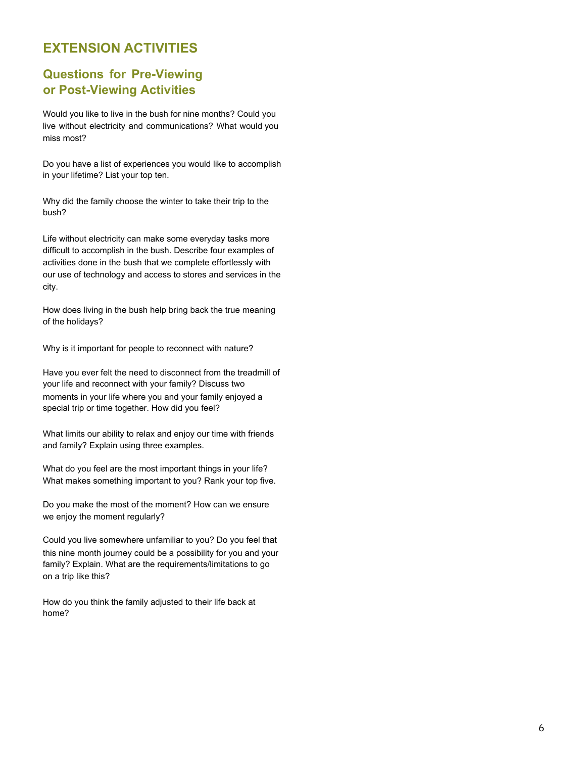#### **EXTENSION ACTIVITIES**

#### **Questions for Pre-Viewing or Post-Viewing Activities**

Would you like to live in the bush for nine months? Could you live without electricity and communications? What would you miss most?

Do you have a list of experiences you would like to accomplish in your lifetime? List your top ten.

Why did the family choose the winter to take their trip to the bush?

Life without electricity can make some everyday tasks more difficult to accomplish in the bush. Describe four examples of activities done in the bush that we complete effortlessly with our use of technology and access to stores and services in the city.

How does living in the bush help bring back the true meaning of the holidays?

Why is it important for people to reconnect with nature?

Have you ever felt the need to disconnect from the treadmill of your life and reconnect with your family? Discuss two moments in your life where you and your family enjoyed a special trip or time together. How did you feel?

What limits our ability to relax and enjoy our time with friends and family? Explain using three examples.

What do you feel are the most important things in your life? What makes something important to you? Rank your top five.

Do you make the most of the moment? How can we ensure we enjoy the moment regularly?

Could you live somewhere unfamiliar to you? Do you feel that this nine month journey could be a possibility for you and your family? Explain. What are the requirements/limitations to go on a trip like this?

How do you think the family adjusted to their life back at home?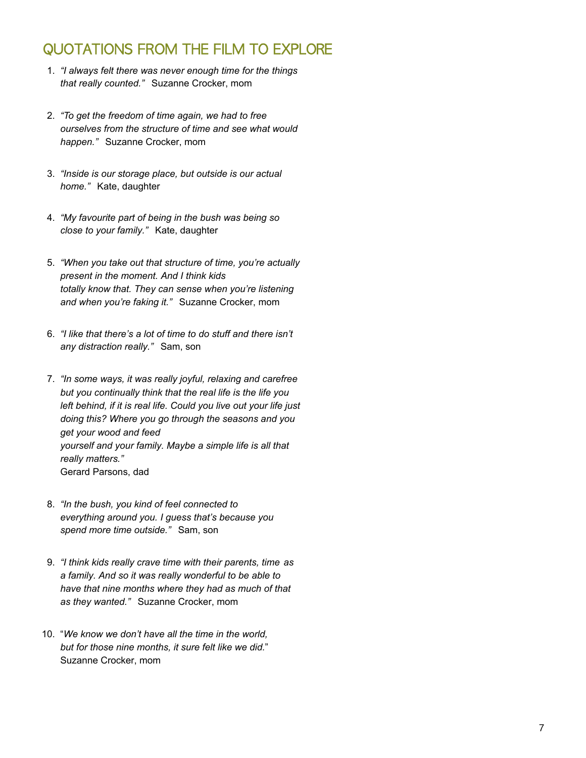## QUOTATIONS FROM THE FILM TO EXPLORE

- 1. *"I always felt there was never enough time for the things that really counted."* Suzanne Crocker, mom
- 2. *"To get the freedom of time again, we had to free ourselves from the structure of time and see what would happen."* Suzanne Crocker, mom
- 3. *"Inside is our storage place, but outside is our actual home."* Kate, daughter
- 4. *"My favourite part of being in the bush was being so close to your family."* Kate, daughter
- 5. *"When you take out that structure of time, you're actually present in the moment. And I think kids totally know that. They can sense when you're listening and when you're faking it."* Suzanne Crocker, mom
- 6. *"I like that there's a lot of time to do stuff and there isn't any distraction really."* Sam, son
- 7. *"In some ways, it was really joyful, relaxing and carefree but you continually think that the real life is the life you left behind, if it is real life. Could you live out your life just doing this? Where you go through the seasons and you get your wood and feed yourself and your family. Maybe a simple life is all that really matters."* Gerard Parsons, dad
- 8. *"In the bush, you kind of feel connected to everything around you. I guess that's because you spend more time outside."* Sam, son
- 9. *"I think kids really crave time with their parents, time as a family. And so it was really wonderful to be able to have that nine months where they had as much of that as they wanted."* Suzanne Crocker, mom
- 10. "*We know we don't have all the time in the world, but for those nine months, it sure felt like we did.*" Suzanne Crocker, mom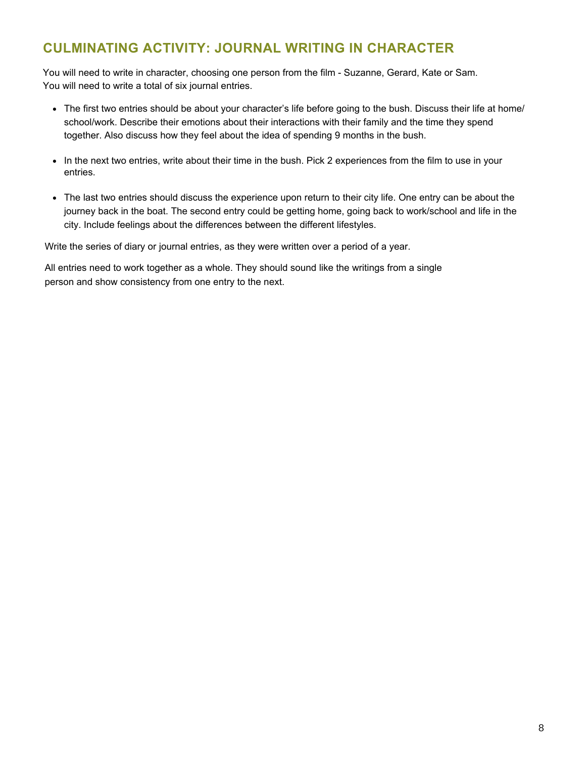### **CULMINATING ACTIVITY: JOURNAL WRITING IN CHARACTER**

You will need to write in character, choosing one person from the film - Suzanne, Gerard, Kate or Sam. You will need to write a total of six journal entries.

- The first two entries should be about your character's life before going to the bush. Discuss their life at home/ school/work. Describe their emotions about their interactions with their family and the time they spend together. Also discuss how they feel about the idea of spending 9 months in the bush.
- In the next two entries, write about their time in the bush. Pick 2 experiences from the film to use in your entries.
- The last two entries should discuss the experience upon return to their city life. One entry can be about the journey back in the boat. The second entry could be getting home, going back to work/school and life in the city. Include feelings about the differences between the different lifestyles.

Write the series of diary or journal entries, as they were written over a period of a year.

All entries need to work together as a whole. They should sound like the writings from a single person and show consistency from one entry to the next.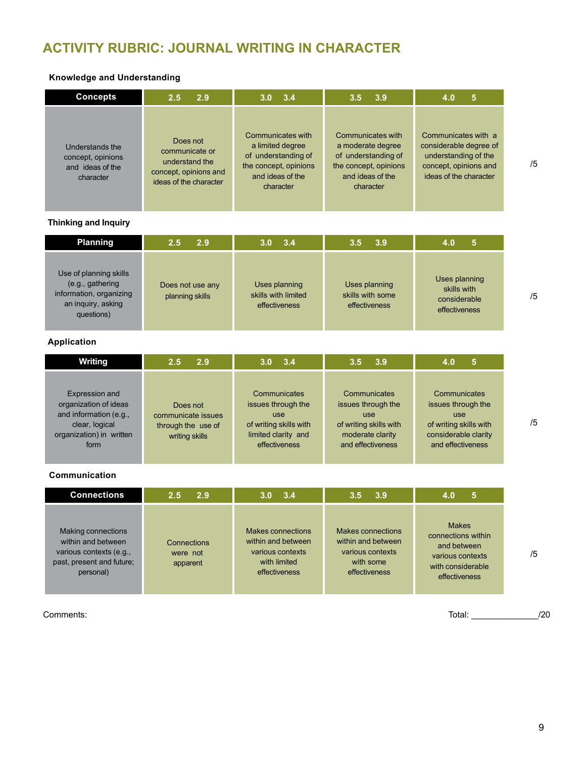## **ACTIVITY RUBRIC: JOURNAL WRITING IN CHARACTER**

#### **Knowledge and Understanding**

| <b>Concepts</b>                                                       | 2.9                                                                                             | 3.4                                                                                                                    | 3.9                                                                                                                     | 5                                                                                                                        |
|-----------------------------------------------------------------------|-------------------------------------------------------------------------------------------------|------------------------------------------------------------------------------------------------------------------------|-------------------------------------------------------------------------------------------------------------------------|--------------------------------------------------------------------------------------------------------------------------|
|                                                                       | 2.5                                                                                             | 3.0 <sub>1</sub>                                                                                                       | 3.5                                                                                                                     | 4.0                                                                                                                      |
| Understands the<br>concept, opinions<br>and ideas of the<br>character | Does not<br>communicate or<br>understand the<br>concept, opinions and<br>ideas of the character | Communicates with<br>a limited degree<br>of understanding of<br>the concept, opinions<br>and ideas of the<br>character | Communicates with<br>a moderate degree<br>of understanding of<br>the concept, opinions<br>and ideas of the<br>character | Communicates with a<br>considerable degree of<br>understanding of the<br>concept, opinions and<br>ideas of the character |

#### **Thinking and Inquiry**

| <b>Planning</b>                                                                                           | 2.9                                 | 3.4                                                   | 73.94                                              | 5                                                             |
|-----------------------------------------------------------------------------------------------------------|-------------------------------------|-------------------------------------------------------|----------------------------------------------------|---------------------------------------------------------------|
|                                                                                                           | 2.5                                 | <b>3.0</b>                                            | 3.5                                                | 4.0                                                           |
| Use of planning skills<br>(e.g., gathering<br>information, organizing<br>an inquiry, asking<br>questions) | Does not use any<br>planning skills | Uses planning<br>skills with limited<br>effectiveness | Uses planning<br>skills with some<br>effectiveness | Uses planning<br>skills with<br>considerable<br>effectiveness |

#### **Application**

| Writing                                                                                                                 | 2.5                                                                    | 3.4                                                                                                                | 3.9                                                                                                          | 5                                                                                                                       |
|-------------------------------------------------------------------------------------------------------------------------|------------------------------------------------------------------------|--------------------------------------------------------------------------------------------------------------------|--------------------------------------------------------------------------------------------------------------|-------------------------------------------------------------------------------------------------------------------------|
|                                                                                                                         | 2.9                                                                    | 3.0 <sub>1</sub>                                                                                                   | 3.5                                                                                                          | 4.0                                                                                                                     |
| Expression and<br>organization of ideas<br>and information (e.g.,<br>clear, logical<br>organization) in written<br>form | Does not<br>communicate issues<br>through the use of<br>writing skills | Communicates<br>issues through the<br><b>use</b><br>of writing skills with<br>limited clarity and<br>effectiveness | Communicates<br>issues through the<br>use<br>of writing skills with<br>moderate clarity<br>and effectiveness | Communicates<br>issues through the<br><b>use</b><br>of writing skills with<br>considerable clarity<br>and effectiveness |

#### **Communication**

| <b>Connections</b>                                                                                            | 2.5                                 | 3.4                                                                                          | 3.9                                                                                       | 5                                                                                                           |
|---------------------------------------------------------------------------------------------------------------|-------------------------------------|----------------------------------------------------------------------------------------------|-------------------------------------------------------------------------------------------|-------------------------------------------------------------------------------------------------------------|
|                                                                                                               | 2.9                                 | 3.0                                                                                          | 3.5                                                                                       | 4.0                                                                                                         |
| Making connections<br>within and between<br>various contexts (e.g.,<br>past, present and future;<br>personal) | Connections<br>were not<br>apparent | Makes connections<br>within and between<br>various contexts<br>with limited<br>effectiveness | Makes connections<br>within and between<br>various contexts<br>with some<br>effectiveness | <b>Makes</b><br>connections within<br>and between<br>various contexts<br>with considerable<br>effectiveness |

Comments: Total: \_\_\_\_\_\_\_\_\_\_\_\_\_\_/20

/5

/5

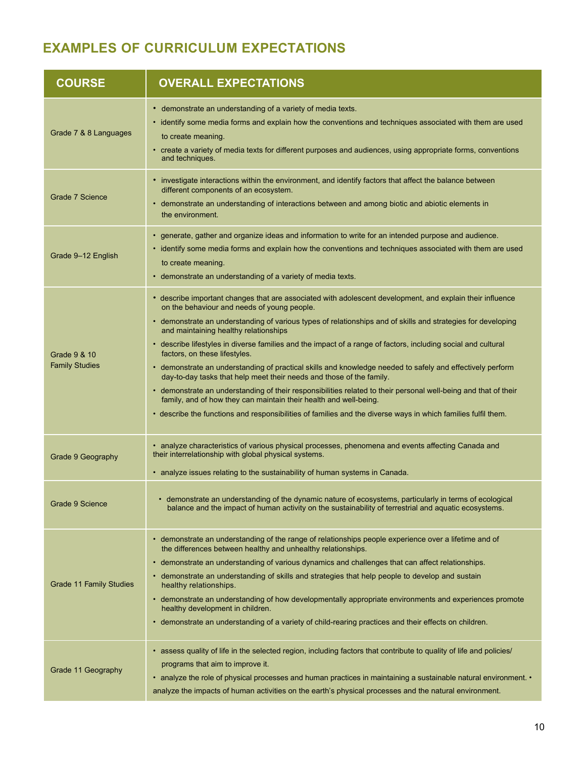## **EXAMPLES OF CURRICULUM EXPECTATIONS**

| <b>COURSE</b>                         | <b>OVERALL EXPECTATIONS</b>                                                                                                                                                                                                                                                                                                                                                                                                                                                                                                                                                                                                                                                                                                                                                                                                                                                                                                                                       |
|---------------------------------------|-------------------------------------------------------------------------------------------------------------------------------------------------------------------------------------------------------------------------------------------------------------------------------------------------------------------------------------------------------------------------------------------------------------------------------------------------------------------------------------------------------------------------------------------------------------------------------------------------------------------------------------------------------------------------------------------------------------------------------------------------------------------------------------------------------------------------------------------------------------------------------------------------------------------------------------------------------------------|
| Grade 7 & 8 Languages                 | • demonstrate an understanding of a variety of media texts.<br>• identify some media forms and explain how the conventions and techniques associated with them are used<br>to create meaning.<br>• create a variety of media texts for different purposes and audiences, using appropriate forms, conventions<br>and techniques.                                                                                                                                                                                                                                                                                                                                                                                                                                                                                                                                                                                                                                  |
| Grade 7 Science                       | • investigate interactions within the environment, and identify factors that affect the balance between<br>different components of an ecosystem.<br>• demonstrate an understanding of interactions between and among biotic and abiotic elements in<br>the environment.                                                                                                                                                                                                                                                                                                                                                                                                                                                                                                                                                                                                                                                                                           |
| Grade 9-12 English                    | • generate, gather and organize ideas and information to write for an intended purpose and audience.<br>• identify some media forms and explain how the conventions and techniques associated with them are used<br>to create meaning.<br>• demonstrate an understanding of a variety of media texts.                                                                                                                                                                                                                                                                                                                                                                                                                                                                                                                                                                                                                                                             |
| Grade 9 & 10<br><b>Family Studies</b> | • describe important changes that are associated with adolescent development, and explain their influence<br>on the behaviour and needs of young people.<br>• demonstrate an understanding of various types of relationships and of skills and strategies for developing<br>and maintaining healthy relationships<br>• describe lifestyles in diverse families and the impact of a range of factors, including social and cultural<br>factors, on these lifestyles.<br>• demonstrate an understanding of practical skills and knowledge needed to safely and effectively perform<br>day-to-day tasks that help meet their needs and those of the family.<br>• demonstrate an understanding of their responsibilities related to their personal well-being and that of their<br>family, and of how they can maintain their health and well-being.<br>• describe the functions and responsibilities of families and the diverse ways in which families fulfil them. |
| Grade 9 Geography                     | • analyze characteristics of various physical processes, phenomena and events affecting Canada and<br>their interrelationship with global physical systems.<br>• analyze issues relating to the sustainability of human systems in Canada.                                                                                                                                                                                                                                                                                                                                                                                                                                                                                                                                                                                                                                                                                                                        |
| Grade 9 Science                       | • demonstrate an understanding of the dynamic nature of ecosystems, particularly in terms of ecological<br>balance and the impact of human activity on the sustainability of terrestrial and aquatic ecosystems.                                                                                                                                                                                                                                                                                                                                                                                                                                                                                                                                                                                                                                                                                                                                                  |
| Grade 11 Family Studies               | • demonstrate an understanding of the range of relationships people experience over a lifetime and of<br>the differences between healthy and unhealthy relationships.<br>• demonstrate an understanding of various dynamics and challenges that can affect relationships.<br>• demonstrate an understanding of skills and strategies that help people to develop and sustain<br>healthy relationships.<br>• demonstrate an understanding of how developmentally appropriate environments and experiences promote<br>healthy development in children.<br>• demonstrate an understanding of a variety of child-rearing practices and their effects on children.                                                                                                                                                                                                                                                                                                     |
| Grade 11 Geography                    | • assess quality of life in the selected region, including factors that contribute to quality of life and policies/<br>programs that aim to improve it.<br>• analyze the role of physical processes and human practices in maintaining a sustainable natural environment. •<br>analyze the impacts of human activities on the earth's physical processes and the natural environment.                                                                                                                                                                                                                                                                                                                                                                                                                                                                                                                                                                             |